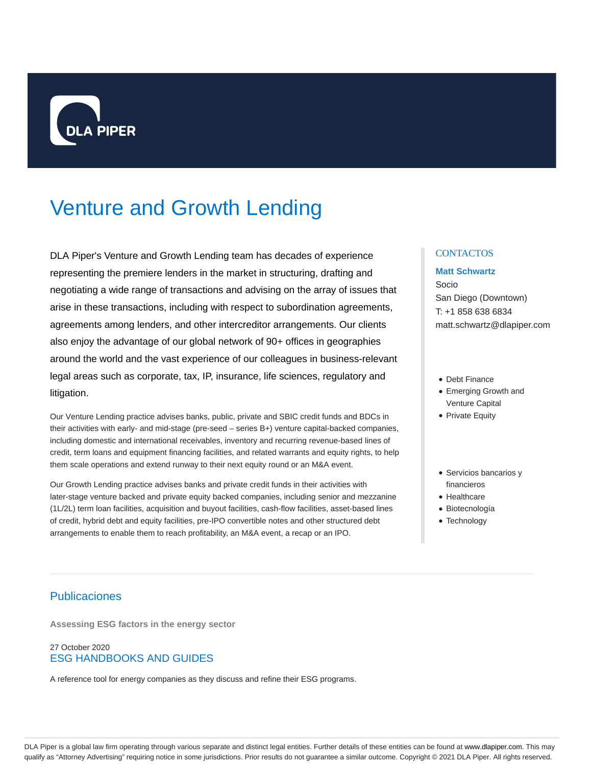

# Venture and Growth Lending

DLA Piper's Venture and Growth Lending team has decades of experience representing the premiere lenders in the market in structuring, drafting and negotiating a wide range of transactions and advising on the array of issues that arise in these transactions, including with respect to subordination agreements, agreements among lenders, and other intercreditor arrangements. Our clients also enjoy the advantage of our global network of 90+ offices in geographies around the world and the vast experience of our colleagues in business-relevant legal areas such as corporate, tax, IP, insurance, life sciences, regulatory and litigation.

Our Venture Lending practice advises banks, public, private and SBIC credit funds and BDCs in their activities with early- and mid-stage (pre-seed – series B+) venture capital-backed companies, including domestic and international receivables, inventory and recurring revenue-based lines of credit, term loans and equipment financing facilities, and related warrants and equity rights, to help them scale operations and extend runway to their next equity round or an M&A event.

Our Growth Lending practice advises banks and private credit funds in their activities with later-stage venture backed and private equity backed companies, including senior and mezzanine (1L/2L) term loan facilities, acquisition and buyout facilities, cash-flow facilities, asset-based lines of credit, hybrid debt and equity facilities, pre-IPO convertible notes and other structured debt arrangements to enable them to reach profitability, an M&A event, a recap or an IPO.

## **CONTACTOS**

## **Matt Schwartz**

Socio San Diego (Downtown) T: +1 858 638 6834 matt.schwartz@dlapiper.com

- Debt Finance
- Emerging Growth and Venture Capital
- Private Equity
- Servicios bancarios y financieros
- Healthcare
- Biotecnología
- Technology

# Publicaciones

**Assessing ESG factors in the energy sector**

## 27 October 2020 ESG HANDBOOKS AND GUIDES

A reference tool for energy companies as they discuss and refine their ESG programs.

DLA Piper is a global law firm operating through various separate and distinct legal entities. Further details of these entities can be found at www.dlapiper.com. This may qualify as "Attorney Advertising" requiring notice in some jurisdictions. Prior results do not guarantee a similar outcome. Copyright © 2021 DLA Piper. All rights reserved.